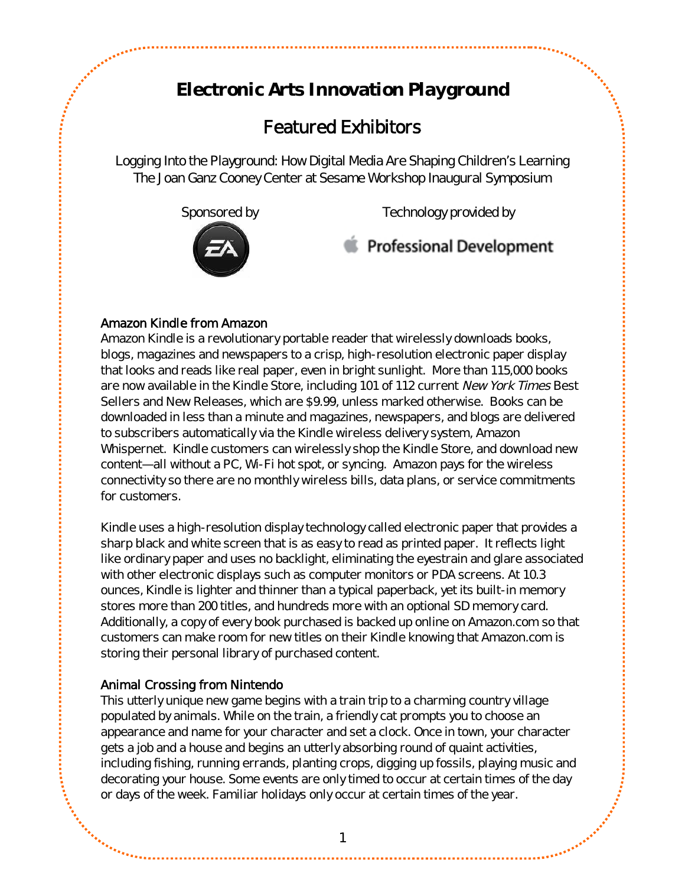# **Electronic Arts Innovation Playground**

## *Featured Exhibitors*

*Logging Into the Playground: How Digital Media Are Shaping Children's Learning The Joan Ganz Cooney Center at Sesame Workshop Inaugural Symposium*



## Amazon Kindle from Amazon

Amazon Kindle is a revolutionary portable reader that wirelessly downloads books, blogs, magazines and newspapers to a crisp, high-resolution electronic paper display that looks and reads like real paper, even in bright sunlight. More than 115,000 books are now available in the Kindle Store, including 101 of 112 current New York Times Best Sellers and New Releases, which are \$9.99, unless marked otherwise. Books can be downloaded in less than a minute and magazines, newspapers, and blogs are delivered to subscribers automatically via the Kindle wireless delivery system, Amazon Whispernet. Kindle customers can wirelessly shop the Kindle Store, and download new content—all without a PC, Wi-Fi hot spot, or syncing. Amazon pays for the wireless connectivity so there are no monthly wireless bills, data plans, or service commitments for customers.

Kindle uses a high-resolution display technology called electronic paper that provides a sharp black and white screen that is as easy to read as printed paper. It reflects light like ordinary paper and uses no backlight, eliminating the eyestrain and glare associated with other electronic displays such as computer monitors or PDA screens. At 10.3 ounces, Kindle is lighter and thinner than a typical paperback, yet its built-in memory stores more than 200 titles, and hundreds more with an optional SD memory card. Additionally, a copy of every book purchased is backed up online on Amazon.com so that customers can make room for new titles on their Kindle knowing that Amazon.com is storing their personal library of purchased content.

## Animal Crossing from Nintendo

This utterly unique new game begins with a train trip to a charming country village populated by animals. While on the train, a friendly cat prompts you to choose an appearance and name for your character and set a clock. Once in town, your character gets a job and a house and begins an utterly absorbing round of quaint activities, including fishing, running errands, planting crops, digging up fossils, playing music and decorating your house. Some events are only timed to occur at certain times of the day or days of the week. Familiar holidays only occur at certain times of the year.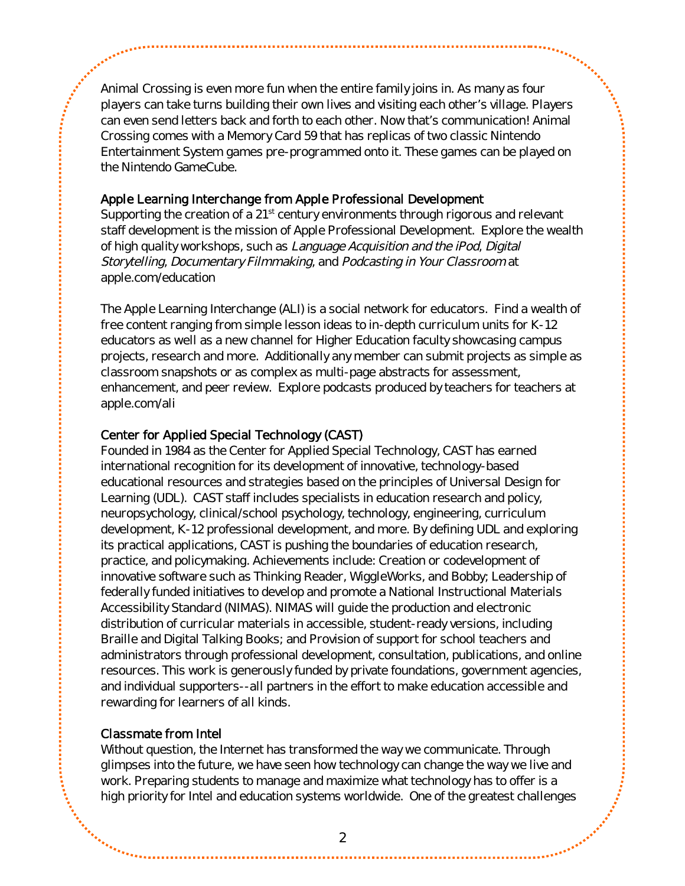Animal Crossing is even more fun when the entire family joins in. As many as four players can take turns building their own lives and visiting each other's village. Players can even send letters back and forth to each other. Now that's communication! Animal Crossing comes with a Memory Card 59 that has replicas of two classic Nintendo Entertainment System games pre-programmed onto it. These games can be played on the Nintendo GameCube.

#### Apple Learning Interchange from Apple Professional Development

Supporting the creation of a  $21<sup>st</sup>$  century environments through rigorous and relevant staff development is the mission of Apple Professional Development. Explore the wealth of high quality workshops, such as Language Acquisition and the iPod, Digital Storytelling, Documentary Filmmaking, and Podcasting in Your Classroom at apple.com/education

The Apple Learning Interchange (ALI) is a social network for educators. Find a wealth of free content ranging from simple lesson ideas to in-depth curriculum units for K-12 educators as well as a new channel for Higher Education faculty showcasing campus projects, research and more. Additionally any member can submit projects as simple as classroom snapshots or as complex as multi-page abstracts for assessment, enhancement, and peer review. Explore podcasts produced by teachers for teachers at apple.com/ali

#### Center for Applied Special Technology (CAST)

Founded in 1984 as the Center for Applied Special Technology, CAST has earned international recognition for its development of innovative, technology-based educational resources and strategies based on the principles of Universal Design for Learning (UDL). CAST staff includes specialists in education research and policy, neuropsychology, clinical/school psychology, technology, engineering, curriculum development, K-12 professional development, and more. By defining UDL and exploring its practical applications, CAST is pushing the boundaries of education research, practice, and policymaking. Achievements include: Creation or codevelopment of innovative software such as Thinking Reader, WiggleWorks, and Bobby; Leadership of federally funded initiatives to develop and promote a National Instructional Materials Accessibility Standard (NIMAS). NIMAS will guide the production and electronic distribution of curricular materials in accessible, student-ready versions, including Braille and Digital Talking Books; and Provision of support for school teachers and administrators through professional development, consultation, publications, and online resources. This work is generously funded by private foundations, government agencies, and individual supporters--all partners in the effort to make education accessible and rewarding for learners of all kinds.

## Classmate from Intel

Without question, the Internet has transformed the way we communicate. Through glimpses into the future, we have seen how technology can change the way we live and work. Preparing students to manage and maximize what technology has to offer is a high priority for Intel and education systems worldwide. One of the greatest challenges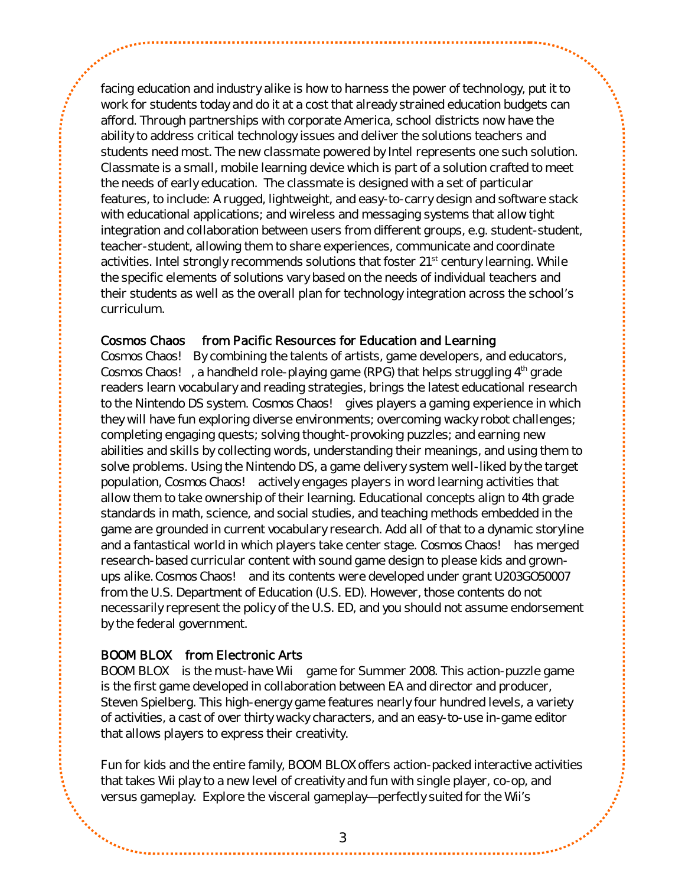facing education and industry alike is how to harness the power of technology, put it to work for students today and do it at a cost that already strained education budgets can afford. Through partnerships with corporate America, school districts now have the ability to address critical technology issues and deliver the solutions teachers and students need most. The new classmate powered by Intel represents one such solution. Classmate is a small, mobile learning device which is part of a solution crafted to meet the needs of early education. The classmate is designed with a set of particular features, to include: A rugged, lightweight, and easy-to-carry design and software stack with educational applications; and wireless and messaging systems that allow tight integration and collaboration between users from different groups, e.g. student-student, teacher-student, allowing them to share experiences, communicate and coordinate activities. Intel strongly recommends solutions that foster 21<sup>st</sup> century learning. While the specific elements of solutions vary based on the needs of individual teachers and their students as well as the overall plan for technology integration across the school's curriculum.

#### Cosmos Chaos™ from Pacific Resources for Education and Learning

*Cosmos Chaos!™* By combining the talents of artists, game developers, and educators, *Cosmos Chaos!™,* a handheld role-playing game (RPG) that helps struggling 4th grade readers learn vocabulary and reading strategies, brings the latest educational research to the Nintendo DS system. *Cosmos Chaos!™* gives players a gaming experience in which they will have fun exploring diverse environments; overcoming wacky robot challenges; completing engaging quests; solving thought-provoking puzzles; and earning new abilities and skills by collecting words, understanding their meanings, and using them to solve problems. Using the Nintendo DS, a game delivery system well-liked by the target population, *Cosmos Chaos!™* actively engages players in word learning activities that allow them to take ownership of their learning. Educational concepts align to 4th grade standards in math, science, and social studies, and teaching methods embedded in the game are grounded in current vocabulary research. Add all of that to a dynamic storyline and a fantastical world in which players take center stage. *Cosmos Chaos!™* has merged research-based curricular content with sound game design to please kids and grownups alike. *Cosmos Chaos!™* and its contents were developed under grant U203GO50007 from the U.S. Department of Education (U.S. ED). However, those contents do not necessarily represent the policy of the U.S. ED, and you should not assume endorsement by the federal government.

#### BOOM BLOX™ from Electronic Arts

BOOM BLOX™ is the must-have Wii™ game for Summer 2008. This action-puzzle game is the first game developed in collaboration between EA and director and producer, Steven Spielberg. This high-energy game features nearly four hundred levels, a variety of activities, a cast of over thirty wacky characters, and an easy-to-use in-game editor that allows players to express their creativity.

Fun for kids and the entire family, BOOM BLOX offers action-packed interactive activities that takes Wii play to a new level of creativity and fun with single player, co-op, and versus gameplay. Explore the visceral gameplay—perfectly suited for the Wii's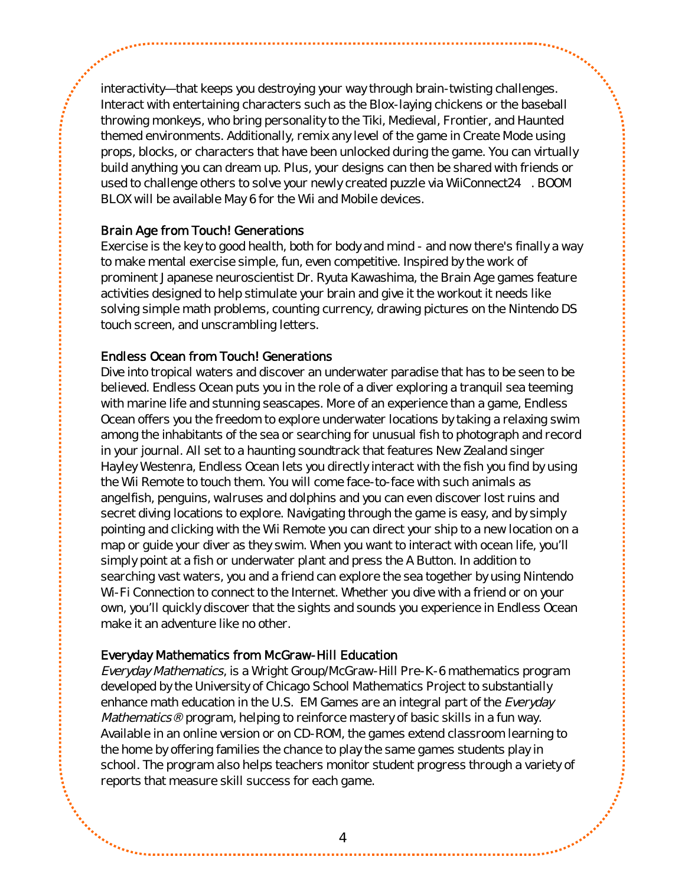interactivity—that keeps you destroying your way through brain-twisting challenges. Interact with entertaining characters such as the Blox-laying chickens or the baseball throwing monkeys, who bring personality to the Tiki, Medieval, Frontier, and Haunted themed environments. Additionally, remix any level of the game in Create Mode using props, blocks, or characters that have been unlocked during the game. You can virtually build anything you can dream up. Plus, your designs can then be shared with friends or used to challenge others to solve your newly created puzzle via WiiConnect24™. BOOM BLOX will be available May 6 for the Wii and Mobile devices.

#### Brain Age from Touch! Generations

Exercise is the key to good health, both for body and mind - and now there's finally a way to make mental exercise simple, fun, even competitive. Inspired by the work of prominent Japanese neuroscientist Dr. Ryuta Kawashima, the Brain Age games feature activities designed to help stimulate your brain and give it the workout it needs like solving simple math problems, counting currency, drawing pictures on the Nintendo DS touch screen, and unscrambling letters.

#### Endless Ocean from Touch! Generations

Dive into tropical waters and discover an underwater paradise that has to be seen to be believed. Endless Ocean puts you in the role of a diver exploring a tranquil sea teeming with marine life and stunning seascapes. More of an experience than a game, Endless Ocean offers you the freedom to explore underwater locations by taking a relaxing swim among the inhabitants of the sea or searching for unusual fish to photograph and record in your journal. All set to a haunting soundtrack that features New Zealand singer Hayley Westenra, Endless Ocean lets you directly interact with the fish you find by using the Wii Remote to touch them. You will come face-to-face with such animals as angelfish, penguins, walruses and dolphins and you can even discover lost ruins and secret diving locations to explore. Navigating through the game is easy, and by simply pointing and clicking with the Wii Remote you can direct your ship to a new location on a map or guide your diver as they swim. When you want to interact with ocean life, you'll simply point at a fish or underwater plant and press the A Button. In addition to searching vast waters, you and a friend can explore the sea together by using Nintendo Wi-Fi Connection to connect to the Internet. Whether you dive with a friend or on your own, you'll quickly discover that the sights and sounds you experience in Endless Ocean make it an adventure like no other.

## Everyday Mathematics from McGraw-Hill Education

Everyday Mathematics, is a Wright Group/McGraw-Hill Pre-K-6 mathematics program developed by the University of Chicago School Mathematics Project to substantially enhance math education in the U.S. EM Games are an integral part of the Everyday Mathematics® program, helping to reinforce mastery of basic skills in a fun way. Available in an online version or on CD-ROM, the games extend classroom learning to the home by offering families the chance to play the same games students play in school. The program also helps teachers monitor student progress through a variety of reports that measure skill success for each game.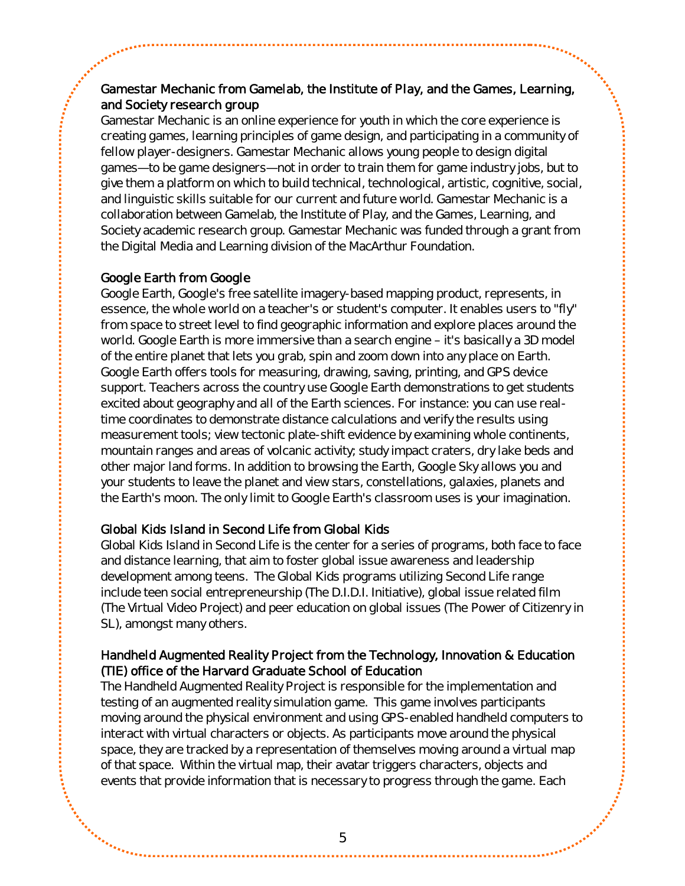## Gamestar Mechanic from Gamelab, the Institute of Play, and the Games, Learning, and Society research group

Gamestar Mechanic is an online experience for youth in which the core experience is creating games, learning principles of game design, and participating in a community of fellow player-designers. Gamestar Mechanic allows young people to design digital games—to be game designers—not in order to train them for game industry jobs, but to give them a platform on which to build technical, technological, artistic, cognitive, social, and linguistic skills suitable for our current and future world. Gamestar Mechanic is a collaboration between Gamelab, the Institute of Play, and the Games, Learning, and Society academic research group. Gamestar Mechanic was funded through a grant from the Digital Media and Learning division of the MacArthur Foundation.

## Google Earth from Google

Google Earth, Google's free satellite imagery-based mapping product, represents, in essence, the whole world on a teacher's or student's computer. It enables users to "fly" from space to street level to find geographic information and explore places around the world. Google Earth is more immersive than a search engine – it's basically a 3D model of the entire planet that lets you grab, spin and zoom down into any place on Earth. Google Earth offers tools for measuring, drawing, saving, printing, and GPS device support. Teachers across the country use Google Earth demonstrations to get students excited about geography and all of the Earth sciences. For instance: you can use realtime coordinates to demonstrate distance calculations and verify the results using measurement tools; view tectonic plate-shift evidence by examining whole continents, mountain ranges and areas of volcanic activity; study impact craters, dry lake beds and other major land forms. In addition to browsing the Earth, Google Sky allows you and your students to leave the planet and view stars, constellations, galaxies, planets and the Earth's moon. The only limit to Google Earth's classroom uses is your imagination.

## Global Kids Island in Second Life from Global Kids

Global Kids Island in Second Life is the center for a series of programs, both face to face and distance learning, that aim to foster global issue awareness and leadership development among teens. The Global Kids programs utilizing Second Life range include teen social entrepreneurship (The D.I.D.I. Initiative), global issue related film (The Virtual Video Project) and peer education on global issues (The Power of Citizenry in SL), amongst many others.

## Handheld Augmented Reality Project from the Technology, Innovation & Education (TIE) office of the Harvard Graduate School of Education

The Handheld Augmented Reality Project is responsible for the implementation and testing of an augmented reality simulation game. This game involves participants moving around the physical environment and using GPS-enabled handheld computers to interact with virtual characters or objects. As participants move around the physical space, they are tracked by a representation of themselves moving around a virtual map of that space. Within the virtual map, their avatar triggers characters, objects and events that provide information that is necessary to progress through the game. Each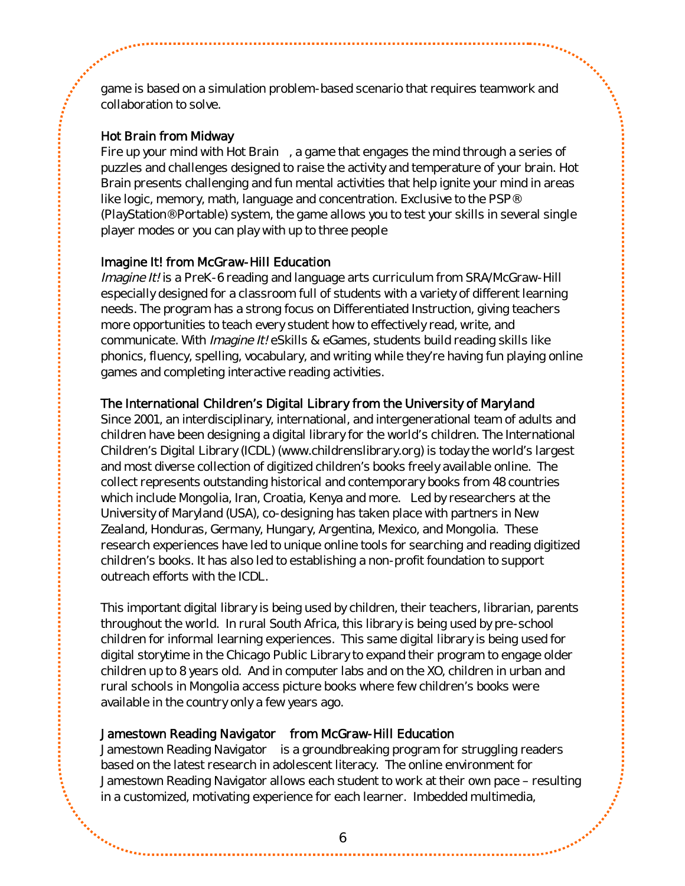game is based on a simulation problem-based scenario that requires teamwork and collaboration to solve.

## Hot Brain from Midway

Fire up your mind with Hot Brain™, a game that engages the mind through a series of puzzles and challenges designed to raise the activity and temperature of your brain. Hot Brain presents challenging and fun mental activities that help ignite your mind in areas like logic, memory, math, language and concentration. Exclusive to the PSP® (PlayStation®Portable) system, the game allows you to test your skills in several single player modes or you can play with up to three people

## Imagine It! from McGraw-Hill Education

Imagine It! is a PreK-6 reading and language arts curriculum from SRA/McGraw-Hill especially designed for a classroom full of students with a variety of different learning needs. The program has a strong focus on Differentiated Instruction, giving teachers more opportunities to teach every student how to effectively read, write, and communicate. With *Imagine It!* eSkills & eGames, students build reading skills like phonics, fluency, spelling, vocabulary, and writing while they're having fun playing online games and completing interactive reading activities.

## The International Children's Digital Library from the University of Maryland

Since 2001, an interdisciplinary, international, and intergenerational team of adults and children have been designing a digital library for the world's children. The International Children's Digital Library (ICDL)([www.childrenslibrary.org](http://www.childrenslibrary.org/)) is today the world's largest and most diverse collection of digitized children's books freely available online. The collect represents outstanding historical and contemporary books from 48 countries which include Mongolia, Iran, Croatia, Kenya and more. Led by researchers at the University of Maryland (USA), co-designing has taken place with partners in New Zealand, Honduras, Germany, Hungary, Argentina, Mexico, and Mongolia. These research experiences have led to unique online tools for searching and reading digitized children's books. It has also led to establishing a non-profit foundation to support outreach efforts with the ICDL.

This important digital library is being used by children, their teachers, librarian, parents throughout the world. In rural South Africa, this library is being used by pre-school children for informal learning experiences. This same digital library is being used for digital storytime in the Chicago Public Library to expand their program to engage older children up to 8 years old. And in computer labs and on the XO, children in urban and rural schools in Mongolia access picture books where few children's books were available in the country only a few years ago.

## Jamestown Reading Navigator™ from McGraw-Hill Education

Jamestown Reading Navigator™ is a groundbreaking program for struggling readers based on the latest research in adolescent literacy. The online environment for Jamestown Reading Navigator allows each student to work at their own pace – resulting in a customized, motivating experience for each learner. Imbedded multimedia,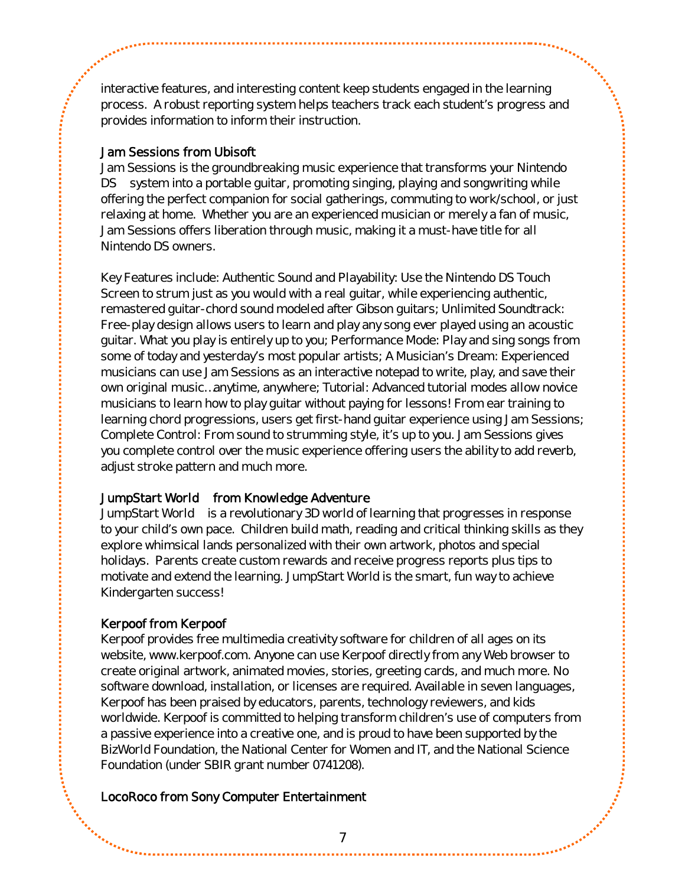interactive features, and interesting content keep students engaged in the learning process. A robust reporting system helps teachers track each student's progress and provides information to inform their instruction.

#### Jam Sessions from Ubisoft

Jam Sessions is the groundbreaking music experience that transforms your Nintendo DS<sup>™</sup> system into a portable guitar, promoting singing, playing and songwriting while offering the perfect companion for social gatherings, commuting to work/school, or just relaxing at home. Whether you are an experienced musician or merely a fan of music, Jam Sessions offers liberation through music, making it a must-have title for all Nintendo DS owners.

Key Features include: Authentic Sound and Playability: Use the Nintendo DS Touch Screen to strum just as you would with a real guitar, while experiencing authentic, remastered guitar-chord sound modeled after Gibson guitars; Unlimited Soundtrack: Free-play design allows users to learn and play any song ever played using an acoustic guitar. What you play is entirely up to you; Performance Mode: Play and sing songs from some of today and yesterday's most popular artists; A Musician's Dream: Experienced musicians can use Jam Sessions as an interactive notepad to write, play, and save their own original music…anytime, anywhere; Tutorial: Advanced tutorial modes allow novice musicians to learn how to play guitar without paying for lessons! From ear training to learning chord progressions, users get first-hand guitar experience using Jam Sessions; Complete Control: From sound to strumming style, it's up to you. Jam Sessions gives you complete control over the music experience offering users the ability to add reverb, adjust stroke pattern and much more.

#### JumpStart World™ from Knowledge Adventure

JumpStart World™ is a revolutionary 3D world of learning that progresses in response to your child's own pace. Children build math, reading and critical thinking skills as they explore whimsical lands personalized with their own artwork, photos and special holidays. Parents create custom rewards and receive progress reports plus tips to motivate and extend the learning. JumpStart World is the smart, fun way to achieve Kindergarten success!

## Kerpoof from Kerpoof

Kerpoof provides free multimedia creativity software for children of all ages on its website, www.kerpoof.com. Anyone can use Kerpoof directly from any Web browser to create original artwork, animated movies, stories, greeting cards, and much more. No software download, installation, or licenses are required. Available in seven languages, Kerpoof has been praised by educators, parents, technology reviewers, and kids worldwide. Kerpoof is committed to helping transform children's use of computers from a passive experience into a creative one, and is proud to have been supported by the BizWorld Foundation, the National Center for Women and IT, and the National Science Foundation (under SBIR grant number 0741208).

## LocoRoco from Sony Computer Entertainment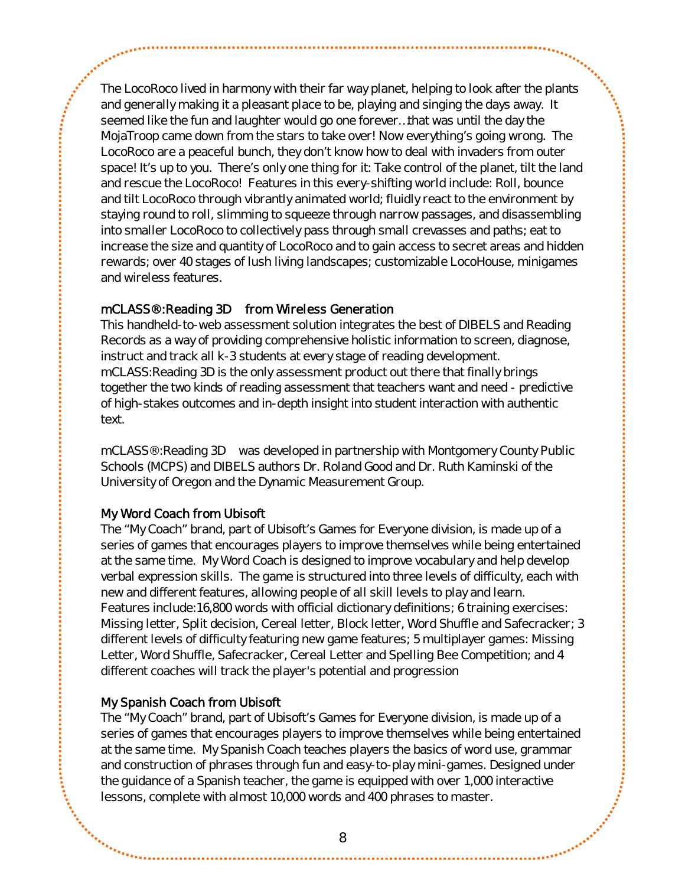The LocoRoco lived in harmony with their far way planet, helping to look after the plants and generally making it a pleasant place to be, playing and singing the days away. It seemed like the fun and laughter would go one forever…that was until the day the MojaTroop came down from the stars to take over! Now everything's going wrong. The LocoRoco are a peaceful bunch, they don't know how to deal with invaders from outer space! It's up to you. There's only one thing for it: Take control of the planet, tilt the land and rescue the LocoRoco! Features in this every-shifting world include: Roll, bounce and tilt LocoRoco through vibrantly animated world; fluidly react to the environment by staying round to roll, slimming to squeeze through narrow passages, and disassembling into smaller LocoRoco to collectively pass through small crevasses and paths; eat to increase the size and quantity of LocoRoco and to gain access to secret areas and hidden rewards; over 40 stages of lush living landscapes; customizable LocoHouse, minigames and wireless features.

## mCLASS®:Reading 3D™ from Wireless Generation

This handheld-to-web assessment solution integrates the best of DIBELS and Reading Records as a way of providing comprehensive holistic information to screen, diagnose, instruct and track all k-3 students at every stage of reading development. mCLASS:Reading 3D is the only assessment product out there that finally brings together the two kinds of reading assessment that teachers want and need - predictive of high-stakes outcomes and in-depth insight into student interaction with authentic text.

mCLASS®:Reading 3D™ was developed in partnership with Montgomery County Public Schools (MCPS) and DIBELS authors Dr. Roland Good and Dr. Ruth Kaminski of the University of Oregon and the Dynamic Measurement Group.

## My Word Coach from Ubisoft

The "My Coach" brand, part of Ubisoft's Games for Everyone division, is made up of a series of games that encourages players to improve themselves while being entertained at the same time. My Word Coach is designed to improve vocabulary and help develop verbal expression skills. The game is structured into three levels of difficulty, each with new and different features, allowing people of all skill levels to play and learn. Features include:16,800 words with official dictionary definitions; 6 training exercises: Missing letter, Split decision, Cereal letter, Block letter, Word Shuffle and Safecracker; 3 different levels of difficulty featuring new game features; 5 multiplayer games: Missing Letter, Word Shuffle, Safecracker, Cereal Letter and Spelling Bee Competition; and 4 different coaches will track the player's potential and progression

## My Spanish Coach from Ubisoft

The "My Coach" brand, part of Ubisoft's Games for Everyone division, is made up of a series of games that encourages players to improve themselves while being entertained at the same time. My Spanish Coach teaches players the basics of word use, grammar and construction of phrases through fun and easy-to-play mini-games. Designed under the guidance of a Spanish teacher, the game is equipped with over 1,000 interactive lessons, complete with almost 10,000 words and 400 phrases to master.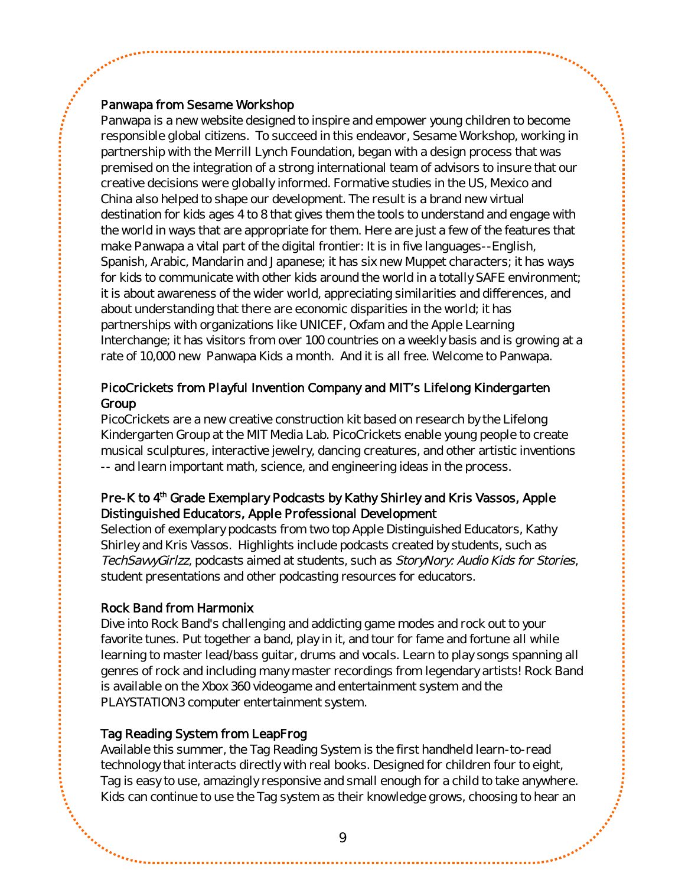#### Panwapa from Sesame Workshop

Panwapa is a new website designed to inspire and empower young children to become responsible global citizens. To succeed in this endeavor, Sesame Workshop, working in partnership with the Merrill Lynch Foundation, began with a design process that was premised on the integration of a strong international team of advisors to insure that our creative decisions were globally informed. Formative studies in the US, Mexico and China also helped to shape our development. The result is a brand new virtual destination for kids ages 4 to 8 that gives them the tools to understand and engage with the world in ways that are appropriate for them. Here are just a few of the features that make Panwapa a vital part of the digital frontier: It is in five languages--English, Spanish, Arabic, Mandarin and Japanese; it has six new Muppet characters; it has ways for kids to communicate with other kids around the world in a totally SAFE environment; it is about awareness of the wider world, appreciating similarities and differences, and about understanding that there are economic disparities in the world; it has partnerships with organizations like UNICEF, Oxfam and the Apple Learning Interchange; it has visitors from over 100 countries on a weekly basis and is growing at a rate of 10,000 new Panwapa Kids a month. And it is all free. Welcome to Panwapa.

## PicoCrickets from Playful Invention Company and MIT's Lifelong Kindergarten Group

PicoCrickets are a new creative construction kit based on research by the Lifelong Kindergarten Group at the MIT Media Lab. PicoCrickets enable young people to create musical sculptures, interactive jewelry, dancing creatures, and other artistic inventions -- and learn important math, science, and engineering ideas in the process.

## Pre-K to 4<sup>th</sup> Grade Exemplary Podcasts by Kathy Shirley and Kris Vassos, Apple Distinguished Educators, Apple Professional Development

Selection of exemplary podcasts from two top Apple Distinguished Educators, Kathy Shirley and Kris Vassos. Highlights include podcasts created by students, such as TechSavvyGirlzz, podcasts aimed at students, such as StoryNory: Audio Kids for Stories, student presentations and other podcasting resources for educators.

## Rock Band from Harmonix

Dive into Rock Band's challenging and addicting game modes and rock out to your favorite tunes. Put together a band, play in it, and tour for fame and fortune all while learning to master lead/bass guitar, drums and vocals. Learn to play songs spanning all genres of rock and including many master recordings from legendary artists! Rock Band is available on the Xbox 360 videogame and entertainment system and the PLAYSTATION3 computer entertainment system.

#### Tag Reading System from LeapFrog

Available this summer, the Tag Reading System is the first handheld learn-to-read technology that interacts directly with real books. Designed for children four to eight, Tag is easy to use, amazingly responsive and small enough for a child to take anywhere. Kids can continue to use the Tag system as their knowledge grows, choosing to hear an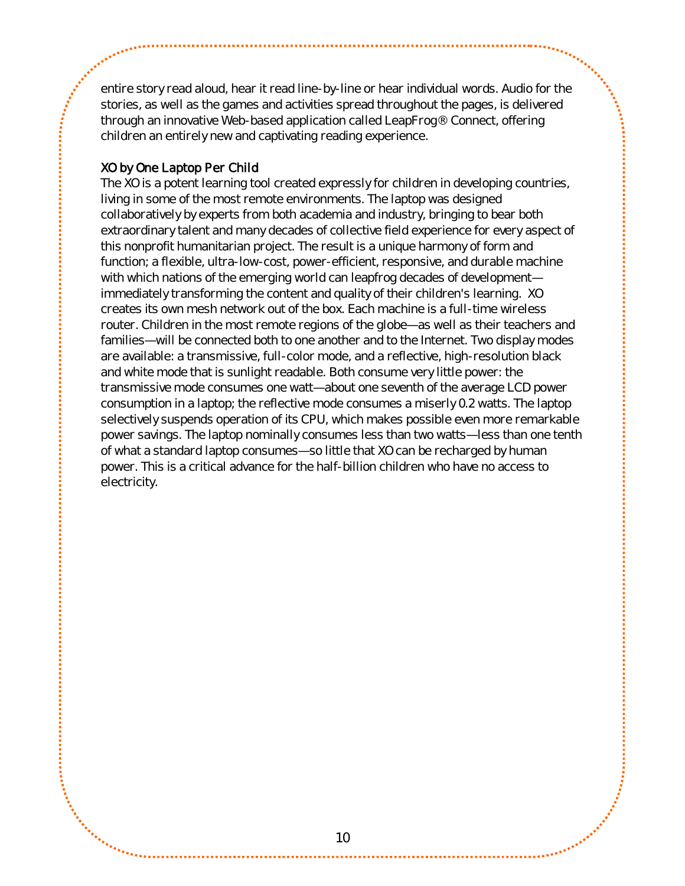entire story read aloud, hear it read line-by-line or hear individual words. Audio for the stories, as well as the games and activities spread throughout the pages, is delivered through an innovative Web-based application called LeapFrog® Connect, offering children an entirely new and captivating reading experience.

## XO by One Laptop Per Child

The XO is a potent learning tool created expressly for children in developing countries, living in some of the most remote environments. The laptop was designed collaboratively by experts from both academia and industry, bringing to bear both extraordinary talent and many decades of collective field experience for every aspect of this nonprofit humanitarian project. The result is a unique harmony of form and function; a flexible, ultra-low-cost, power-efficient, responsive, and durable machine with which nations of the emerging world can leapfrog decades of development immediately transforming the content and quality of their children's learning. XO creates its own mesh network out of the box. Each machine is a full-time wireless router. Children in the most remote regions of the globe—as well as their teachers and families—will be connected both to one another and to the Internet. Two display modes are available: a transmissive, full-color mode, and a reflective, high-resolution black and white mode that is sunlight readable. Both consume very little power: the transmissive mode consumes one watt—about one seventh of the average LCD power consumption in a laptop; the reflective mode consumes a miserly 0.2 watts. The laptop selectively suspends operation of its CPU, which makes possible even more remarkable power savings. The laptop nominally consumes less than two watts—less than one tenth of what a standard laptop consumes—so little that XO can be recharged by human power. This is a critical advance for the half-billion children who have no access to electricity.